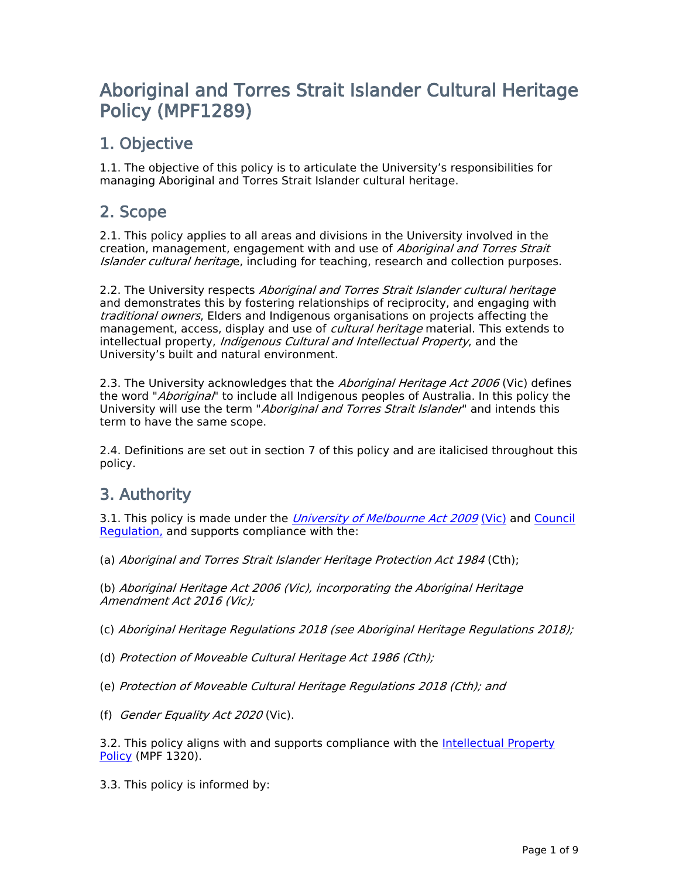# **Aboriginal and Torres Strait Islander Cultural Heritage Policy (MPF1289)**

# **1. Objective**

1.1. The objective of this policy is to articulate the University's responsibilities for managing Aboriginal and Torres Strait Islander cultural heritage.

# **2. Scope**

2.1. This policy applies to all areas and divisions in the University involved in the creation, management, engagement with and use of *Aboriginal and Torres Strait Islander cultural heritag*e, including for teaching, research and collection purposes.

2.2. The University respects *Aboriginal and Torres Strait Islander cultural heritage* and demonstrates this by fostering relationships of reciprocity, and engaging with *traditional owners*, Elders and Indigenous organisations on projects affecting the management, access, display and use of *cultural heritage* material. This extends to intellectual property, *Indigenous Cultural and Intellectual Property*, and the University's built and natural environment.

2.3. The University acknowledges that the *Aboriginal Heritage Act 2006* (Vic) defines the word "*Aboriginal*" to include all Indigenous peoples of Australia. In this policy the University will use the term "*Aboriginal and Torres Strait Islander*" and intends this term to have the same scope.

2.4. Definitions are set out in section 7 of this policy and are italicised throughout this policy.

# **3. Authority**

3.1. This policy is made under the *[University](http://www.legislation.vic.gov.au/domino/web_notes/ldms/pubstatbook.nsf/edfb620cf7503d1aca256da4001b08af/489fcdb5278f3602ca25767f00102b11/$file/09-078a.pdf) [of](http://www.legislation.vic.gov.au/domino/web_notes/ldms/pubstatbook.nsf/edfb620cf7503d1aca256da4001b08af/489fcdb5278f3602ca25767f00102b11/$file/09-078a.pdf) [Melbourne](http://www.legislation.vic.gov.au/domino/web_notes/ldms/pubstatbook.nsf/edfb620cf7503d1aca256da4001b08af/489fcdb5278f3602ca25767f00102b11/$file/09-078a.pdf) [Act](http://www.legislation.vic.gov.au/domino/web_notes/ldms/pubstatbook.nsf/edfb620cf7503d1aca256da4001b08af/489fcdb5278f3602ca25767f00102b11/$file/09-078a.pdf) [2009](http://www.legislation.vic.gov.au/domino/web_notes/ldms/pubstatbook.nsf/edfb620cf7503d1aca256da4001b08af/489fcdb5278f3602ca25767f00102b11/$file/09-078a.pdf)* [\(Vic\)](http://www.legislation.vic.gov.au/domino/web_notes/ldms/pubstatbook.nsf/edfb620cf7503d1aca256da4001b08af/489fcdb5278f3602ca25767f00102b11/$file/09-078a.pdf) and [Council](http://www.unimelb.edu.au/governance/statutes) [Regulation,](http://www.unimelb.edu.au/governance/statutes) and supports compliance with the:

(a) *Aboriginal and Torres Strait Islander Heritage Protection Act 1984* (Cth);

(b) *Aboriginal Heritage Act 2006 (Vic), incorporating the Aboriginal Heritage Amendment Act 2016 (Vic);*

(c) *Aboriginal Heritage Regulations 2018 (see Aboriginal Heritage Regulations 2018);*

- (d) *Protection of Moveable Cultural Heritage Act 1986 (Cth);*
- (e) *Protection of Moveable Cultural Heritage Regulations 2018 (Cth); and*
- (f) *Gender Equality Act 2020* (Vic).

3.2. This policy aligns with and supports compliance with the [Intellectual](file:/usr/local/tomcat/MPF1320) [Property](file:/usr/local/tomcat/MPF1320) [Policy](file:/usr/local/tomcat/MPF1320) (MPF 1320).

3.3. This policy is informed by: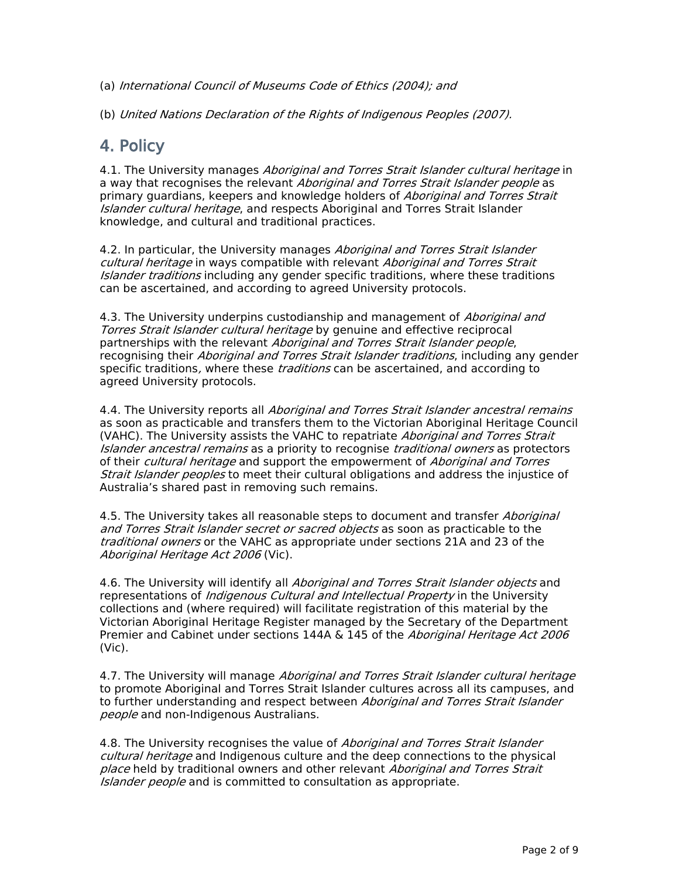(a) *International Council of Museums Code of Ethics (2004); and*

(b) *United Nations Declaration of the Rights of Indigenous Peoples (2007).*

## **4. Policy**

4.1. The University manages *Aboriginal and Torres Strait Islander cultural heritage* in a way that recognises the relevant *Aboriginal and Torres Strait Islander people* as primary guardians, keepers and knowledge holders of *Aboriginal and Torres Strait Islander cultural heritage*, and respects Aboriginal and Torres Strait Islander knowledge, and cultural and traditional practices.

4.2. In particular, the University manages *Aboriginal and Torres Strait Islander cultural heritage* in ways compatible with relevant *Aboriginal and Torres Strait Islander traditions* including any gender specific traditions, where these traditions can be ascertained, and according to agreed University protocols.

4.3. The University underpins custodianship and management of *Aboriginal and Torres Strait Islander cultural heritage* by genuine and effective reciprocal partnerships with the relevant *Aboriginal and Torres Strait Islander people*, recognising their *Aboriginal and Torres Strait Islander traditions*, including any gender specific traditions*,* where these *traditions* can be ascertained, and according to agreed University protocols.

4.4. The University reports all *Aboriginal and Torres Strait Islander ancestral remains* as soon as practicable and transfers them to the Victorian Aboriginal Heritage Council (VAHC). The University assists the VAHC to repatriate *Aboriginal and Torres Strait Islander ancestral remains* as a priority to recognise *traditional owners* as protectors of their *cultural heritage* and support the empowerment of *Aboriginal and Torres Strait Islander peoples* to meet their cultural obligations and address the injustice of Australia's shared past in removing such remains.

4.5. The University takes all reasonable steps to document and transfer *Aboriginal and Torres Strait Islander secret or sacred objects* as soon as practicable to the *traditional owners* or the VAHC as appropriate under sections 21A and 23 of the *Aboriginal Heritage Act 2006* (Vic).

4.6. The University will identify all *Aboriginal and Torres Strait Islander objects* and representations of *Indigenous Cultural and Intellectual Property* in the University collections and (where required) will facilitate registration of this material by the Victorian Aboriginal Heritage Register managed by the Secretary of the Department Premier and Cabinet under sections 144A & 145 of the *Aboriginal Heritage Act 2006* (Vic).

4.7. The University will manage *Aboriginal and Torres Strait Islander cultural heritage* to promote Aboriginal and Torres Strait Islander cultures across all its campuses, and to further understanding and respect between *Aboriginal and Torres Strait Islander people* and non-Indigenous Australians.

4.8. The University recognises the value of *Aboriginal and Torres Strait Islander cultural heritage* and Indigenous culture and the deep connections to the physical *place* held by traditional owners and other relevant *Aboriginal and Torres Strait Islander people* and is committed to consultation as appropriate.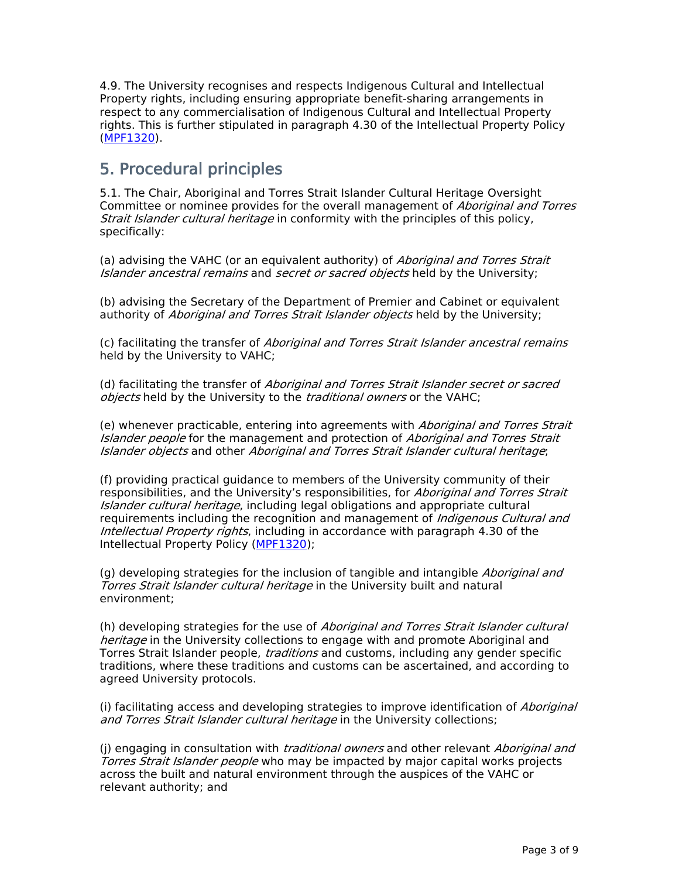4.9. The University recognises and respects Indigenous Cultural and Intellectual Property rights, including ensuring appropriate benefit-sharing arrangements in respect to any commercialisation of Indigenous Cultural and Intellectual Property rights. This is further stipulated in paragraph 4.30 of the Intellectual Property Policy ([MPF1320\)](file:/usr/local/tomcat/MPF1320).

## **5. Procedural principles**

5.1. The Chair, Aboriginal and Torres Strait Islander Cultural Heritage Oversight Committee or nominee provides for the overall management of *Aboriginal and Torres Strait Islander cultural heritage* in conformity with the principles of this policy, specifically:

(a) advising the VAHC (or an equivalent authority) of *Aboriginal and Torres Strait Islander ancestral remains* and *secret or sacred objects* held by the University;

(b) advising the Secretary of the Department of Premier and Cabinet or equivalent authority of *Aboriginal and Torres Strait Islander objects* held by the University;

(c) facilitating the transfer of *Aboriginal and Torres Strait Islander ancestral remains* held by the University to VAHC;

(d) facilitating the transfer of *Aboriginal and Torres Strait Islander secret or sacred objects* held by the University to the *traditional owners* or the VAHC;

(e) whenever practicable, entering into agreements with *Aboriginal and Torres Strait Islander people* for the management and protection of *Aboriginal and Torres Strait Islander objects* and other *Aboriginal and Torres Strait Islander cultural heritage*;

(f) providing practical guidance to members of the University community of their responsibilities, and the University's responsibilities, for *Aboriginal and Torres Strait Islander cultural heritage*, including legal obligations and appropriate cultural requirements including the recognition and management of *Indigenous Cultural and Intellectual Property rights*, including in accordance with paragraph 4.30 of the Intellectual Property Policy ([MPF1320\)](file:/usr/local/tomcat/MPF1320);

(g) developing strategies for the inclusion of tangible and intangible *Aboriginal and Torres Strait Islander cultural heritage* in the University built and natural environment;

(h) developing strategies for the use of *Aboriginal and Torres Strait Islander cultural heritage* in the University collections to engage with and promote Aboriginal and Torres Strait Islander people, *traditions* and customs, including any gender specific traditions, where these traditions and customs can be ascertained, and according to agreed University protocols.

(i) facilitating access and developing strategies to improve identification of *Aboriginal and Torres Strait Islander cultural heritage* in the University collections;

(j) engaging in consultation with *traditional owners* and other relevant *Aboriginal and Torres Strait Islander people* who may be impacted by major capital works projects across the built and natural environment through the auspices of the VAHC or relevant authority; and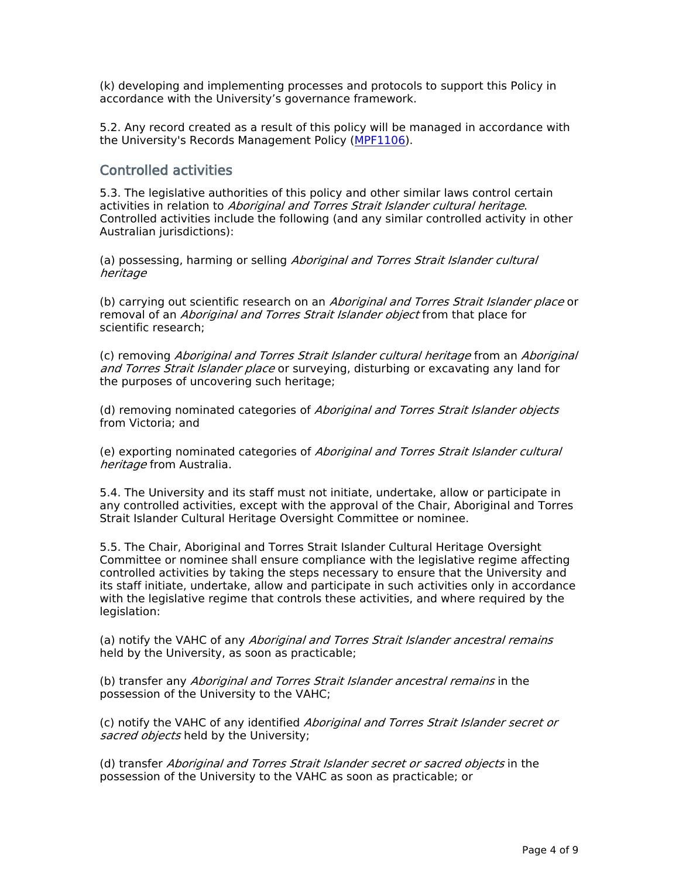(k) developing and implementing processes and protocols to support this Policy in accordance with the University's governance framework.

5.2. Any record created as a result of this policy will be managed in accordance with the University's Records Management Policy ([MPF1106\)](file:/usr/local/tomcat/MPF1106).

### **Controlled activities**

5.3. The legislative authorities of this policy and other similar laws control certain activities in relation to *Aboriginal and Torres Strait Islander cultural heritage*. Controlled activities include the following (and any similar controlled activity in other Australian jurisdictions):

(a) possessing, harming or selling *Aboriginal and Torres Strait Islander cultural heritage*

(b) carrying out scientific research on an *Aboriginal and Torres Strait Islander place* or removal of an *Aboriginal and Torres Strait Islander object* from that place for scientific research;

(c) removing *Aboriginal and Torres Strait Islander cultural heritage* from an *Aboriginal and Torres Strait Islander place* or surveying, disturbing or excavating any land for the purposes of uncovering such heritage;

(d) removing nominated categories of *Aboriginal and Torres Strait Islander objects* from Victoria; and

(e) exporting nominated categories of *Aboriginal and Torres Strait Islander cultural heritage* from Australia.

5.4. The University and its staff must not initiate, undertake, allow or participate in any controlled activities, except with the approval of the Chair, Aboriginal and Torres Strait Islander Cultural Heritage Oversight Committee or nominee.

5.5. The Chair, Aboriginal and Torres Strait Islander Cultural Heritage Oversight Committee or nominee shall ensure compliance with the legislative regime affecting controlled activities by taking the steps necessary to ensure that the University and its staff initiate, undertake, allow and participate in such activities only in accordance with the legislative regime that controls these activities, and where required by the legislation:

(a) notify the VAHC of any *Aboriginal and Torres Strait Islander ancestral remains* held by the University, as soon as practicable;

(b) transfer any *Aboriginal and Torres Strait Islander ancestral remains* in the possession of the University to the VAHC;

(c) notify the VAHC of any identified *Aboriginal and Torres Strait Islander secret or sacred objects* held by the University;

(d) transfer *Aboriginal and Torres Strait Islander secret or sacred objects* in the possession of the University to the VAHC as soon as practicable; or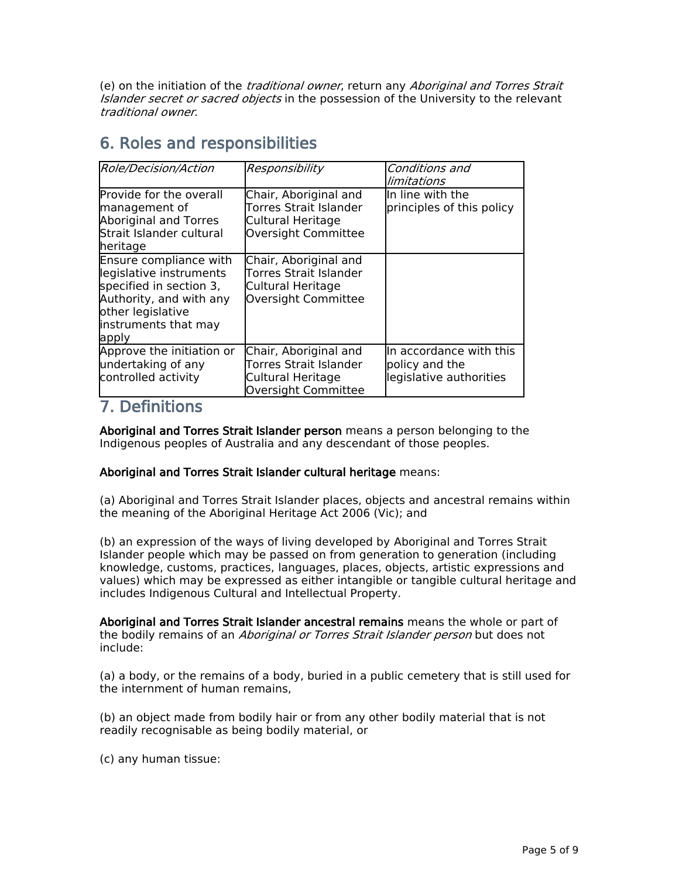(e) on the initiation of the *traditional owner*, return any *Aboriginal and Torres Strait Islander secret or sacred objects* in the possession of the University to the relevant *traditional owner*.

## **6. Roles and responsibilities**

| Role/Decision/Action                                                                                                                                          | Responsibility                                                                              | Conditions and<br>limitations                                        |
|---------------------------------------------------------------------------------------------------------------------------------------------------------------|---------------------------------------------------------------------------------------------|----------------------------------------------------------------------|
| Provide for the overall<br>management of<br><b>Aboriginal and Torres</b><br>Strait Islander cultural<br>heritage                                              | Chair, Aboriginal and<br>Torres Strait Islander<br>Cultural Heritage<br>Oversight Committee | <b>I</b> In line with the<br>principles of this policy               |
| Ensure compliance with<br>legislative instruments<br>specified in section 3,<br>Authority, and with any<br>other legislative<br>instruments that may<br>apply | Chair, Aboriginal and<br>Torres Strait Islander<br>Cultural Heritage<br>Oversight Committee |                                                                      |
| Approve the initiation or<br>undertaking of any<br>controlled activity                                                                                        | Chair, Aboriginal and<br>Torres Strait Islander<br>Cultural Heritage<br>Oversight Committee | In accordance with this<br>policy and the<br>legislative authorities |

### **7. Definitions**

**Aboriginal and Torres Strait Islander person** means a person belonging to the Indigenous peoples of Australia and any descendant of those peoples.

### **Aboriginal and Torres Strait Islander cultural heritage** means:

(a) Aboriginal and Torres Strait Islander places, objects and ancestral remains within the meaning of the Aboriginal Heritage Act 2006 (Vic); and

(b) an expression of the ways of living developed by Aboriginal and Torres Strait Islander people which may be passed on from generation to generation (including knowledge, customs, practices, languages, places, objects, artistic expressions and values) which may be expressed as either intangible or tangible cultural heritage and includes Indigenous Cultural and Intellectual Property.

**Aboriginal and Torres Strait Islander ancestral remains** meansthe whole or part of the bodily remains of an *Aboriginal or Torres Strait Islander person* but does not include:

(a) a body, or the remains of a body, buried in a public cemetery that is still used for the internment of human remains,

(b) an object made from bodily hair or from any other bodily material that is not readily recognisable as being bodily material, or

(c) any human tissue: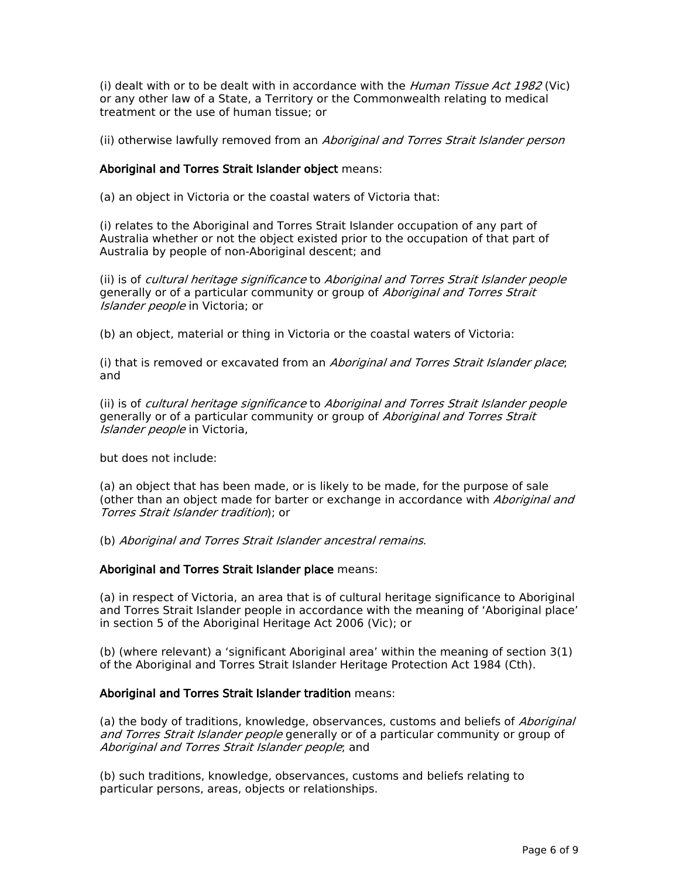(i) dealt with or to be dealt with in accordance with the *Human Tissue Act 1982* (Vic) or any other law of a State, a Territory or the Commonwealth relating to medical treatment or the use of human tissue; or

(ii) otherwise lawfully removed from an *Aboriginal and Torres Strait Islander person*

### **Aboriginal and Torres Strait Islander object** means:

(a) an object in Victoria or the coastal waters of Victoria that:

(i) relates to the Aboriginal and Torres Strait Islander occupation of any part of Australia whether or not the object existed prior to the occupation of that part of Australia by people of non-Aboriginal descent; and

(ii) is of *cultural heritage significance* to *Aboriginal and Torres Strait Islander people* generally or of a particular community or group of *Aboriginal and Torres Strait Islander people* in Victoria; or

(b) an object, material or thing in Victoria or the coastal waters of Victoria:

(i) that is removed or excavated from an *Aboriginal and Torres Strait Islander place*; and

(ii) is of *cultural heritage significance* to *Aboriginal and Torres Strait Islander people* generally or of a particular community or group of *Aboriginal and Torres Strait Islander people* in Victoria,

but does not include:

(a) an object that has been made, or is likely to be made, for the purpose of sale (other than an object made for barter or exchange in accordance with *Aboriginal and Torres Strait Islander tradition*); or

(b) *Aboriginal and Torres Strait Islander ancestral remains*.

### **Aboriginal and Torres Strait Islander place** means:

(a) in respect of Victoria, an area that is of cultural heritage significance to Aboriginal and Torres Strait Islander people in accordance with the meaning of 'Aboriginal place' in section 5 of the Aboriginal Heritage Act 2006 (Vic); or

(b) (where relevant) a 'significant Aboriginal area' within the meaning of section 3(1) of the Aboriginal and Torres Strait Islander Heritage Protection Act 1984 (Cth).

#### **Aboriginal and Torres Strait Islander tradition** means:

(a) the body of traditions, knowledge, observances, customs and beliefs of *Aboriginal and Torres Strait Islander people* generally or of a particular community or group of *Aboriginal and Torres Strait Islander people*; and

(b) such traditions, knowledge, observances, customs and beliefs relating to particular persons, areas, objects or relationships.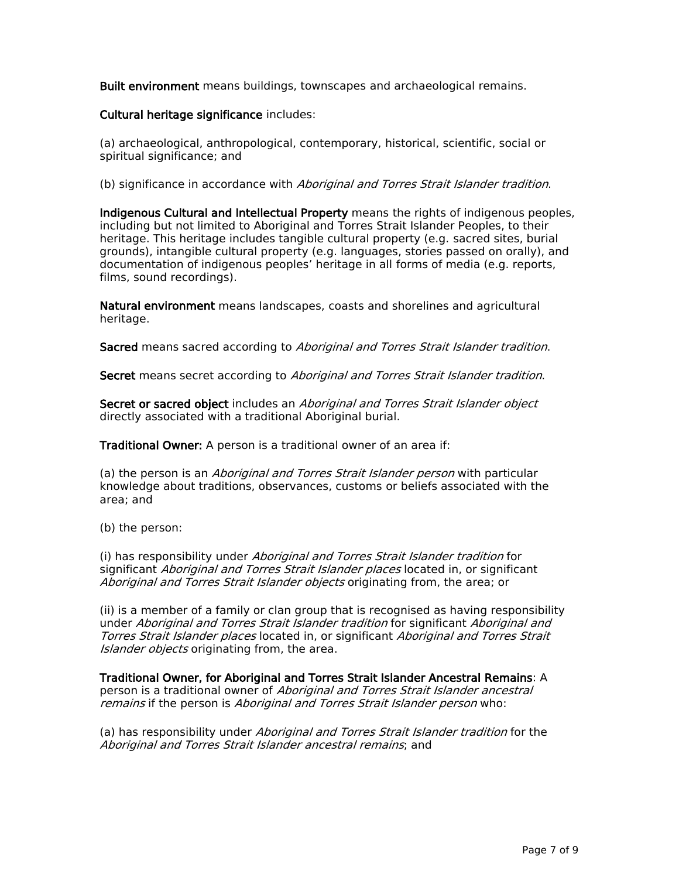**Built environment** means buildings, townscapes and archaeological remains.

### **Cultural heritage significance** includes:

(a) archaeological, anthropological, contemporary, historical, scientific, social or spiritual significance; and

(b) significance in accordance with *Aboriginal and Torres Strait Islander tradition*.

**Indigenous Cultural and Intellectual Property** means the rights of indigenous peoples, including but not limited to Aboriginal and Torres Strait Islander Peoples, to their heritage. This heritage includes tangible cultural property (e.g. sacred sites, burial grounds), intangible cultural property (e.g. languages, stories passed on orally), and documentation of indigenous peoples' heritage in all forms of media (e.g. reports, films, sound recordings).

**Natural environment** means landscapes, coasts and shorelines and agricultural heritage.

**Sacred** means sacred according to *Aboriginal and Torres Strait Islander tradition*.

**Secret** means secret according to *Aboriginal and Torres Strait Islander tradition*.

**Secret or sacred object** includes an *Aboriginal and Torres Strait Islander object* directly associated with a traditional Aboriginal burial.

**Traditional Owner:** A person is a traditional owner of an area if:

(a) the person is an *Aboriginal and Torres Strait Islander person* with particular knowledge about traditions, observances, customs or beliefs associated with the area; and

(b) the person:

(i) has responsibility under *Aboriginal and Torres Strait Islander tradition* for significant *Aboriginal and Torres Strait Islander places* located in, or significant *Aboriginal and Torres Strait Islander objects* originating from, the area; or

(ii) is a member of a family or clan group that is recognised as having responsibility under *Aboriginal and Torres Strait Islander tradition* for significant *Aboriginal and Torres Strait Islander places* located in, or significant *Aboriginal and Torres Strait Islander objects* originating from, the area.

**Traditional Owner, for Aboriginal and Torres Strait Islander Ancestral Remains**: A person is a traditional owner of *Aboriginal and Torres Strait Islander ancestral remains* if the person is *Aboriginal and Torres Strait Islander person* who:

(a) has responsibility under *Aboriginal and Torres Strait Islander tradition* for the *Aboriginal and Torres Strait Islander ancestral remains*; and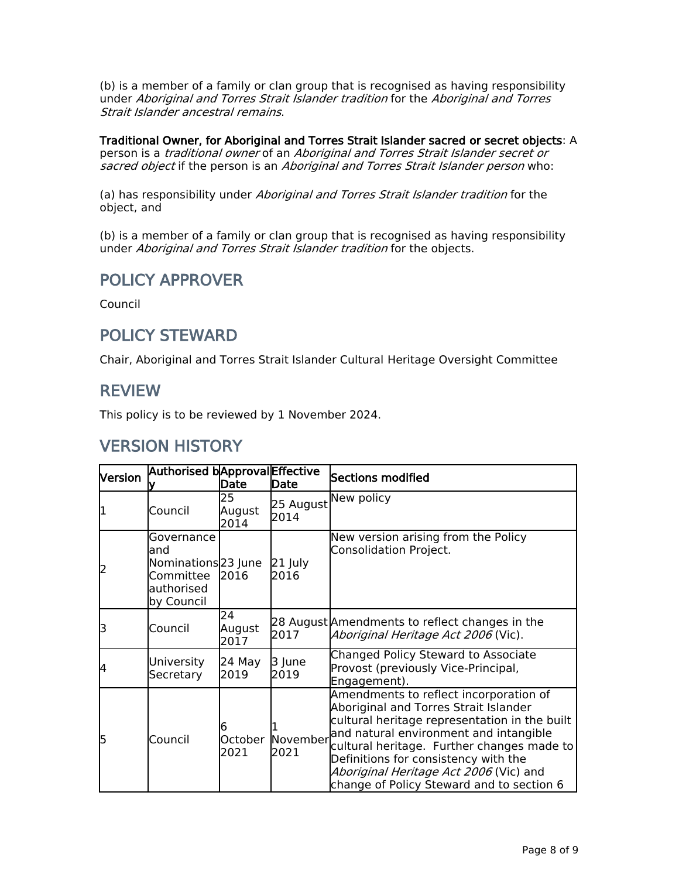(b) is a member of a family or clan group that is recognised as having responsibility under *Aboriginal and Torres Strait Islander tradition* for the *Aboriginal and Torres Strait Islander ancestral remains*.

**Traditional Owner, for Aboriginal and Torres Strait Islander sacred or secret objects**: A person is a *traditional owner* of an *Aboriginal and Torres Strait Islander secret or sacred object* if the person is an *Aboriginal and Torres Strait Islander person* who:

(a) has responsibility under *Aboriginal and Torres Strait Islander tradition* for the object, and

(b) is a member of a family or clan group that is recognised as having responsibility under *Aboriginal and Torres Strait Islander tradition* for the objects.

## **POLICY APPROVER**

Council

## **POLICY STEWARD**

Chair, Aboriginal and Torres Strait Islander Cultural Heritage Oversight Committee

### **REVIEW**

This policy is to be reviewed by 1 November 2024.

## **VERSION HISTORY**

| Version | Authorised bApproval Effective                                                                  | Date                 | Date                     | Sections modified                                                                                                                                                                                                                                                                                                                                       |
|---------|-------------------------------------------------------------------------------------------------|----------------------|--------------------------|---------------------------------------------------------------------------------------------------------------------------------------------------------------------------------------------------------------------------------------------------------------------------------------------------------------------------------------------------------|
|         | Council                                                                                         | 25<br>August<br>2014 | 25 August<br>2014        | New policy                                                                                                                                                                                                                                                                                                                                              |
| 12      | Governance<br>land<br>Nominations <sup>[23]</sup> June<br>Committee<br>authorised<br>by Council | 2016                 | 21 July<br>2016          | New version arising from the Policy<br>Consolidation Project.                                                                                                                                                                                                                                                                                           |
| lЗ      | Council                                                                                         | 24<br>August<br>2017 | 2017                     | 28 August Amendments to reflect changes in the<br><i>Aboriginal Heritage Act 2006</i> (Vic).                                                                                                                                                                                                                                                            |
| 14      | University<br>Secretary                                                                         | 24 May<br>2019       | 3 June<br>2019           | <b>Changed Policy Steward to Associate</b><br>Provost (previously Vice-Principal,<br>Engagement).                                                                                                                                                                                                                                                       |
| 15      | Council                                                                                         | h<br>2021            | October November<br>2021 | Amendments to reflect incorporation of<br>Aboriginal and Torres Strait Islander<br>cultural heritage representation in the built<br>and natural environment and intangible<br>cultural heritage. Further changes made to<br>Definitions for consistency with the<br>Aboriginal Heritage Act 2006 (Vic) and<br>change of Policy Steward and to section 6 |